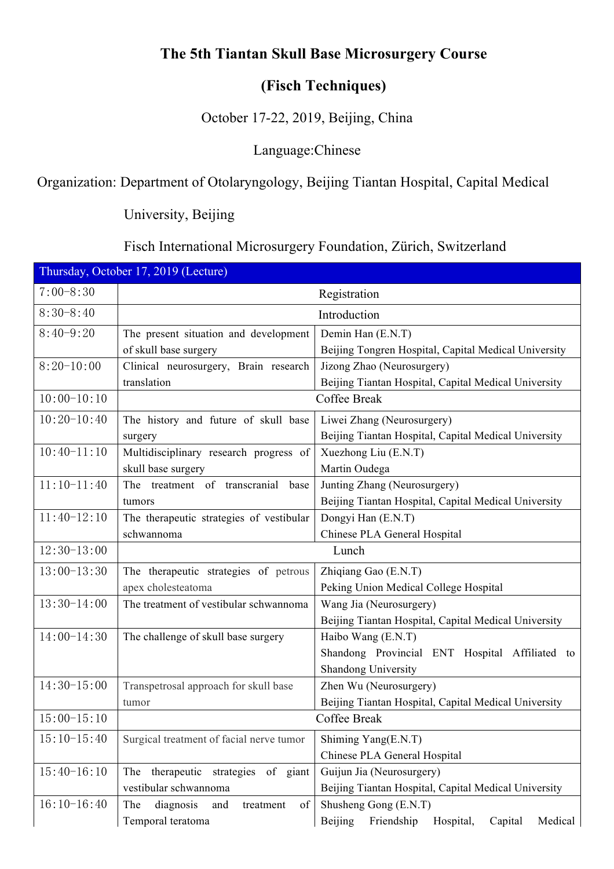## **The 5th Tiantan Skull Base Microsurgery Course**

#### **(Fisch Techniques)**

October 17-22, 2019, Beijing, China

### Language:Chinese

# Organization: Department of Otolaryngology, Beijing Tiantan Hospital, Capital Medical

University, Beijing

# Fisch International Microsurgery Foundation, Zürich, Switzerland

| Thursday, October 17, 2019 (Lecture) |                                              |                                                          |  |  |
|--------------------------------------|----------------------------------------------|----------------------------------------------------------|--|--|
| $7:00-8:30$                          |                                              | Registration                                             |  |  |
| $8:30-8:40$                          |                                              | Introduction                                             |  |  |
| $8:40-9:20$                          | The present situation and development        | Demin Han (E.N.T)                                        |  |  |
|                                      | of skull base surgery                        | Beijing Tongren Hospital, Capital Medical University     |  |  |
| $8:20-10:00$                         | Clinical neurosurgery, Brain research        | Jizong Zhao (Neurosurgery)                               |  |  |
|                                      | translation                                  | Beijing Tiantan Hospital, Capital Medical University     |  |  |
| $10:00-10:10$                        |                                              | Coffee Break                                             |  |  |
| $10:20-10:40$                        | The history and future of skull base         | Liwei Zhang (Neurosurgery)                               |  |  |
|                                      | surgery                                      | Beijing Tiantan Hospital, Capital Medical University     |  |  |
| $10:40-11:10$                        | Multidisciplinary research progress of       | Xuezhong Liu (E.N.T)                                     |  |  |
|                                      | skull base surgery                           | Martin Oudega                                            |  |  |
| $11:10-11:40$                        | The treatment of transcranial base           | Junting Zhang (Neurosurgery)                             |  |  |
|                                      | tumors                                       | Beijing Tiantan Hospital, Capital Medical University     |  |  |
| $11:40-12:10$                        | The therapeutic strategies of vestibular     | Dongyi Han (E.N.T)                                       |  |  |
|                                      | schwannoma                                   | Chinese PLA General Hospital                             |  |  |
| $12:30-13:00$                        |                                              | Lunch                                                    |  |  |
| $13:00-13:30$                        | The therapeutic strategies of petrous        | Zhiqiang Gao (E.N.T)                                     |  |  |
|                                      | apex cholesteatoma                           | Peking Union Medical College Hospital                    |  |  |
| $13:30-14:00$                        | The treatment of vestibular schwannoma       | Wang Jia (Neurosurgery)                                  |  |  |
|                                      |                                              | Beijing Tiantan Hospital, Capital Medical University     |  |  |
| $14:00-14:30$                        | The challenge of skull base surgery          | Haibo Wang (E.N.T)                                       |  |  |
|                                      |                                              | Shandong Provincial ENT Hospital Affiliated to           |  |  |
|                                      |                                              | Shandong University                                      |  |  |
| $14:30-15:00$                        | Transpetrosal approach for skull base        | Zhen Wu (Neurosurgery)                                   |  |  |
|                                      | tumor                                        | Beijing Tiantan Hospital, Capital Medical University     |  |  |
| $15:00-15:10$                        |                                              | Coffee Break                                             |  |  |
| $15:10-15:40$                        | Surgical treatment of facial nerve tumor     | Shiming Yang(E.N.T)                                      |  |  |
|                                      |                                              | Chinese PLA General Hospital                             |  |  |
| $15:40-16:10$                        | therapeutic<br>of giant<br>strategies<br>The | Guijun Jia (Neurosurgery)                                |  |  |
|                                      | vestibular schwannoma                        | Beijing Tiantan Hospital, Capital Medical University     |  |  |
| $16:10-16:40$                        | diagnosis<br>The<br>treatment<br>of<br>and   | Shusheng Gong (E.N.T)                                    |  |  |
|                                      | Temporal teratoma                            | Friendship<br>Medical<br>Beijing<br>Hospital,<br>Capital |  |  |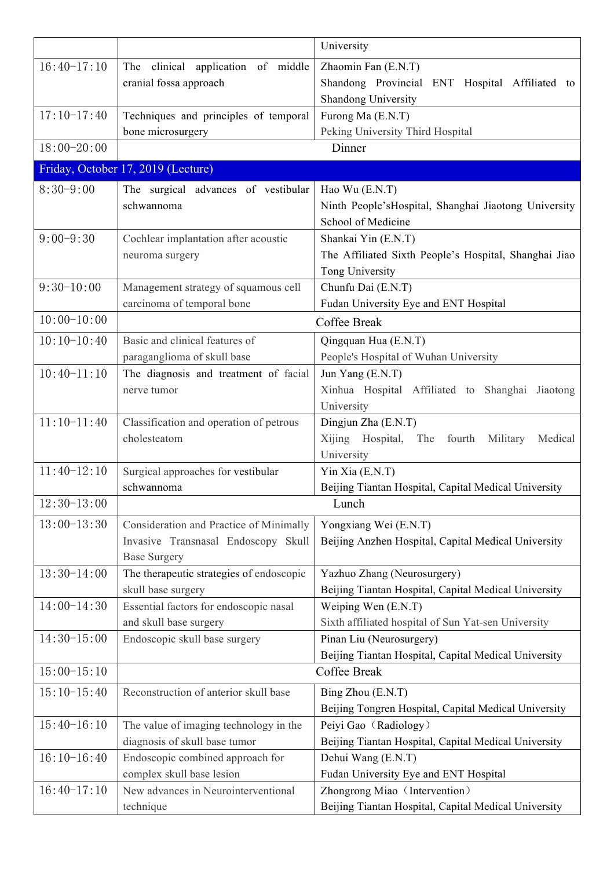|                 |                                          | University                                            |
|-----------------|------------------------------------------|-------------------------------------------------------|
| $16:40-17:10$   | The clinical application of middle       | Zhaomin Fan (E.N.T)                                   |
|                 | cranial fossa approach                   | Shandong Provincial ENT Hospital Affiliated to        |
|                 |                                          | Shandong University                                   |
| $17:10-17:40$   | Techniques and principles of temporal    | Furong Ma (E.N.T)                                     |
|                 | bone microsurgery                        | Peking University Third Hospital                      |
| $18:00 - 20:00$ |                                          | Dinner                                                |
|                 | Friday, October 17, 2019 (Lecture)       |                                                       |
| $8:30-9:00$     | The surgical advances of vestibular      | Hao Wu (E.N.T)                                        |
|                 | schwannoma                               | Ninth People'sHospital, Shanghai Jiaotong University  |
|                 |                                          | School of Medicine                                    |
| $9:00 - 9:30$   | Cochlear implantation after acoustic     | Shankai Yin (E.N.T)                                   |
|                 | neuroma surgery                          | The Affiliated Sixth People's Hospital, Shanghai Jiao |
|                 |                                          | Tong University                                       |
| $9:30-10:00$    | Management strategy of squamous cell     | Chunfu Dai (E.N.T)                                    |
|                 | carcinoma of temporal bone               | Fudan University Eye and ENT Hospital                 |
| $10:00-10:00$   |                                          | Coffee Break                                          |
| $10:10-10:40$   | Basic and clinical features of           | Qingquan Hua (E.N.T)                                  |
|                 | paraganglioma of skull base              | People's Hospital of Wuhan University                 |
| $10:40-11:10$   | The diagnosis and treatment of facial    | Jun Yang (E.N.T)                                      |
|                 | nerve tumor                              | Xinhua Hospital Affiliated to Shanghai Jiaotong       |
|                 |                                          | University                                            |
| $11:10-11:40$   | Classification and operation of petrous  | Dingjun Zha (E.N.T)                                   |
|                 | cholesteatom                             | Xijing Hospital, The fourth Military<br>Medical       |
|                 |                                          | University                                            |
| $11:40-12:10$   | Surgical approaches for vestibular       | $Y$ in Xia (E.N.T)                                    |
|                 | schwannoma                               | Beijing Tiantan Hospital, Capital Medical University  |
| $12:30-13:00$   |                                          | Lunch                                                 |
| $13:00-13:30$   | Consideration and Practice of Minimally  | Yongxiang Wei (E.N.T)                                 |
|                 | Invasive Transnasal Endoscopy Skull      | Beijing Anzhen Hospital, Capital Medical University   |
|                 | <b>Base Surgery</b>                      |                                                       |
| $13:30-14:00$   | The therapeutic strategies of endoscopic | Yazhuo Zhang (Neurosurgery)                           |
|                 | skull base surgery                       | Beijing Tiantan Hospital, Capital Medical University  |
| $14:00-14:30$   | Essential factors for endoscopic nasal   | Weiping Wen (E.N.T)                                   |
|                 | and skull base surgery                   | Sixth affiliated hospital of Sun Yat-sen University   |
| $14:30-15:00$   | Endoscopic skull base surgery            | Pinan Liu (Neurosurgery)                              |
|                 |                                          | Beijing Tiantan Hospital, Capital Medical University  |
| $15:00-15:10$   |                                          | Coffee Break                                          |
| $15:10-15:40$   | Reconstruction of anterior skull base    | Bing Zhou (E.N.T)                                     |
|                 |                                          | Beijing Tongren Hospital, Capital Medical University  |
| $15:40-16:10$   | The value of imaging technology in the   | Peiyi Gao (Radiology)                                 |
|                 | diagnosis of skull base tumor            | Beijing Tiantan Hospital, Capital Medical University  |
| $16:10-16:40$   | Endoscopic combined approach for         | Dehui Wang (E.N.T)                                    |
|                 | complex skull base lesion                | Fudan University Eye and ENT Hospital                 |
| $16:40-17:10$   | New advances in Neurointerventional      | Zhongrong Miao (Intervention)                         |
|                 | technique                                | Beijing Tiantan Hospital, Capital Medical University  |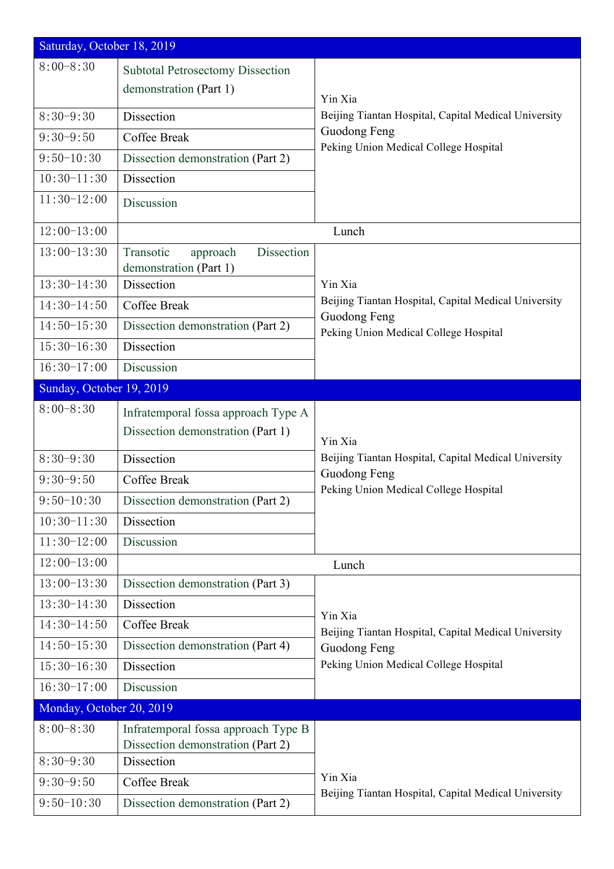| Saturday, October 18, 2019 |                                                                          |                                                                      |  |  |
|----------------------------|--------------------------------------------------------------------------|----------------------------------------------------------------------|--|--|
| $8:00 - 8:30$              | <b>Subtotal Petrosectomy Dissection</b><br>demonstration (Part 1)        | Yin Xia                                                              |  |  |
| $8:30-9:30$                | Dissection                                                               | Beijing Tiantan Hospital, Capital Medical University                 |  |  |
| $9:30-9:50$                | <b>Coffee Break</b>                                                      | Guodong Feng                                                         |  |  |
| $9:50-10:30$               | Dissection demonstration (Part 2)                                        | Peking Union Medical College Hospital                                |  |  |
| $10:30-11:30$              | Dissection                                                               |                                                                      |  |  |
| $11:30-12:00$              | Discussion                                                               |                                                                      |  |  |
| $12:00-13:00$              |                                                                          | Lunch                                                                |  |  |
| $13:00-13:30$              | Dissection<br>Transotic<br>approach<br>demonstration (Part 1)            |                                                                      |  |  |
| $13:30-14:30$              | Dissection                                                               | Yin Xia                                                              |  |  |
| $14:30-14:50$              | Coffee Break                                                             | Beijing Tiantan Hospital, Capital Medical University<br>Guodong Feng |  |  |
| $14:50-15:30$              | Dissection demonstration (Part 2)                                        | Peking Union Medical College Hospital                                |  |  |
| $15:30-16:30$              | Dissection                                                               |                                                                      |  |  |
| $16:30-17:00$              | Discussion                                                               |                                                                      |  |  |
| Sunday, October 19, 2019   |                                                                          |                                                                      |  |  |
| $8:00 - 8:30$              | Infratemporal fossa approach Type A<br>Dissection demonstration (Part 1) | Yin Xia                                                              |  |  |
| $8:30-9:30$                | Dissection                                                               | Beijing Tiantan Hospital, Capital Medical University                 |  |  |
| $9:30-9:50$                | Coffee Break                                                             | Guodong Feng                                                         |  |  |
| $9:50-10:30$               | Dissection demonstration (Part 2)                                        | Peking Union Medical College Hospital                                |  |  |
| $10:30-11:30$              | Dissection                                                               |                                                                      |  |  |
| $11:30-12:00$              | Discussion                                                               |                                                                      |  |  |
| $12:00-13:00$              |                                                                          | Lunch                                                                |  |  |
| $13:00-13:30$              | Dissection demonstration (Part 3)                                        |                                                                      |  |  |
| $13:30-14:30$              | Dissection                                                               | Yin Xia                                                              |  |  |
| $14:30-14:50$              | Coffee Break                                                             | Beijing Tiantan Hospital, Capital Medical University                 |  |  |
| $14:50-15:30$              | Dissection demonstration (Part 4)                                        | Guodong Feng                                                         |  |  |
| $15:30-16:30$              | Dissection                                                               | Peking Union Medical College Hospital                                |  |  |
| $16:30-17:00$              | Discussion                                                               |                                                                      |  |  |
| Monday, October 20, 2019   |                                                                          |                                                                      |  |  |
| $8:00 - 8:30$              | Infratemporal fossa approach Type B<br>Dissection demonstration (Part 2) |                                                                      |  |  |
| $8:30-9:30$                | Dissection                                                               | Yin Xia<br>Beijing Tiantan Hospital, Capital Medical University      |  |  |
| $9:30-9:50$                | Coffee Break                                                             |                                                                      |  |  |
| $9:50-10:30$               | Dissection demonstration (Part 2)                                        |                                                                      |  |  |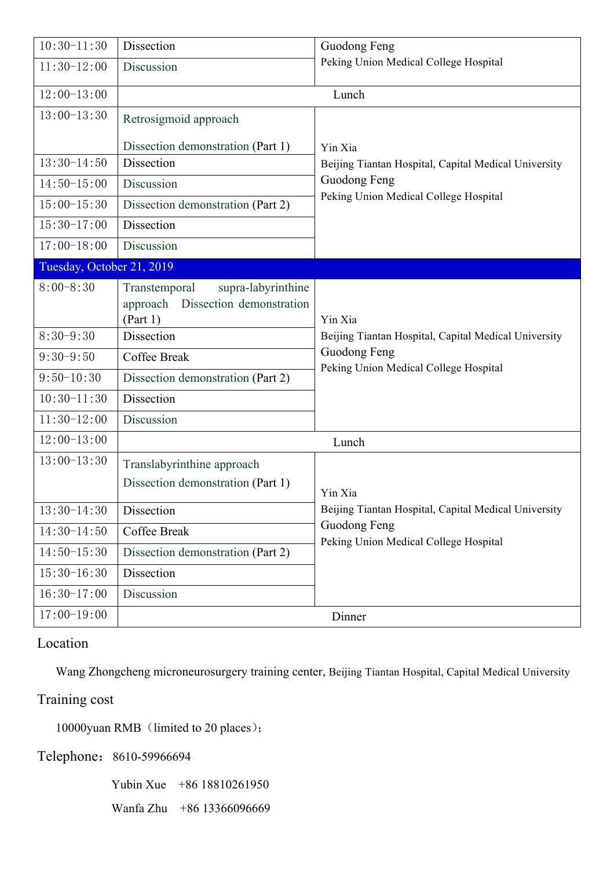| $10:30-11:30$             | Dissection                                                                              | Guodong Feng                                          |
|---------------------------|-----------------------------------------------------------------------------------------|-------------------------------------------------------|
| $11:30-12:00$             | Discussion                                                                              | Peking Union Medical College Hospital                 |
| $12:00-13:00$             | Lunch                                                                                   |                                                       |
| $13:00-13:30$             | Retrosigmoid approach                                                                   |                                                       |
|                           | Dissection demonstration (Part 1)                                                       | Yin Xia                                               |
| $13:30-14:50$             | <b>Dissection</b>                                                                       | Beijing Tiantan Hospital, Capital Medical University  |
| $14:50-15:00$             | Discussion                                                                              | Guodong Feng                                          |
| $15:00-15:30$             | Dissection demonstration (Part 2)                                                       | Peking Union Medical College Hospital                 |
| $15:30-17:00$             | Dissection                                                                              |                                                       |
| $17:00-18:00$             | Discussion                                                                              |                                                       |
| Tuesday, October 21, 2019 |                                                                                         |                                                       |
| $8:00 - 8:30$             | supra-labyrinthine<br>Transtemporal<br>Dissection demonstration<br>approach<br>(Part 1) | Yin Xia                                               |
| $8:30-9:30$               | Dissection                                                                              | Beijing Tiantan Hospital, Capital Medical University  |
| $9:30-9:50$               | Coffee Break                                                                            | Guodong Feng<br>Peking Union Medical College Hospital |
| $9:50-10:30$              | Dissection demonstration (Part 2)                                                       |                                                       |
| $10:30-11:30$             | Dissection                                                                              |                                                       |
| $11:30-12:00$             | Discussion                                                                              |                                                       |
| $12:00-13:00$             | Lunch                                                                                   |                                                       |
| $13:00-13:30$             | Translabyrinthine approach                                                              |                                                       |
|                           | Dissection demonstration (Part 1)                                                       | Yin Xia                                               |
| $13:30-14:30$             | Dissection                                                                              | Beijing Tiantan Hospital, Capital Medical University  |
| $14:30-14:50$             | Coffee Break                                                                            | Guodong Feng<br>Peking Union Medical College Hospital |
| $14:50-15:30$             | Dissection demonstration (Part 2)                                                       |                                                       |
| $15:30-16:30$             | Dissection                                                                              |                                                       |
| $16:30-17:00$             | Discussion                                                                              |                                                       |
| $17:00-19:00$             |                                                                                         | Dinner                                                |

# Location

Wang Zhongcheng microneurosurgery training center, Beijing Tiantan Hospital, Capital Medical University

### Training cost

10000yuan RMB (limited to 20 places);

Telephone: 8610-59966694

Yubin Xue +86 18810261950

Wanfa Zhu +86 13366096669